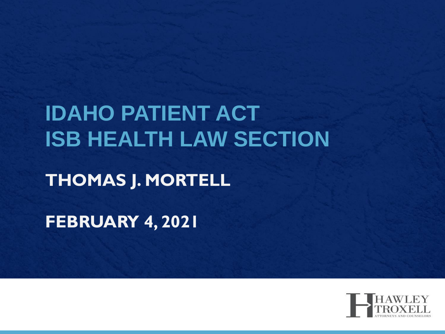## **IDAHO PATIENT ACT ISB HEALTH LAW SECTION**

#### **THOMAS J. MORTELL**

**FEBRUARY 4, 2021**

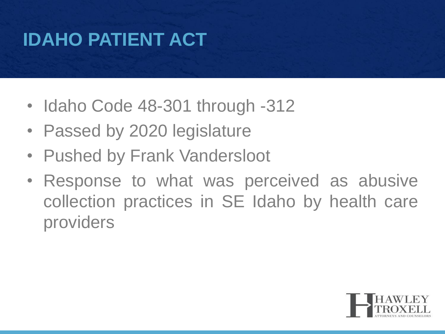## **IDAHO PATIENT ACT**

- Idaho Code 48-301 through -312
- Passed by 2020 legislature
- Pushed by Frank Vandersloot
- Response to what was perceived as abusive collection practices in SE Idaho by health care providers

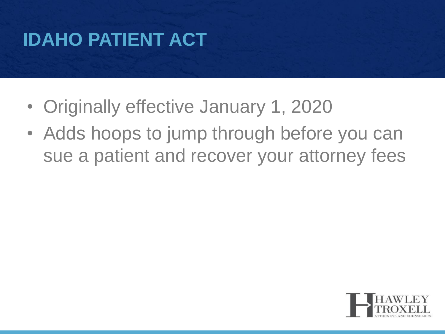## **IDAHO PATIENT ACT**

- Originally effective January 1, 2020
- Adds hoops to jump through before you can sue a patient and recover your attorney fees

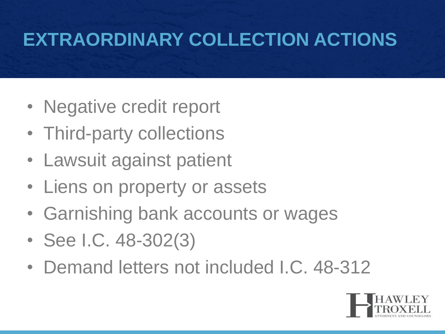#### **EXTRAORDINARY COLLECTION ACTIONS**

- Negative credit report
- Third-party collections
- Lawsuit against patient
- Liens on property or assets
- Garnishing bank accounts or wages
- See I.C. 48-302(3)
- Demand letters not included I.C. 48-312

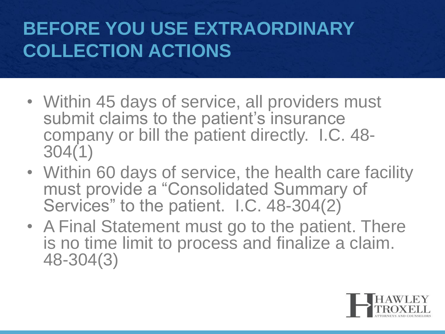#### **BEFORE YOU USE EXTRAORDINARY COLLECTION ACTIONS**

- Within 45 days of service, all providers must submit claims to the patient's insurance company or bill the patient directly. I.C. 48- 304(1)
- Within 60 days of service, the health care facility must provide a "Consolidated Summary of Services" to the patient. I.C. 48-304(2)
- A Final Statement must go to the patient. There is no time limit to process and finalize a claim. 48-304(3)

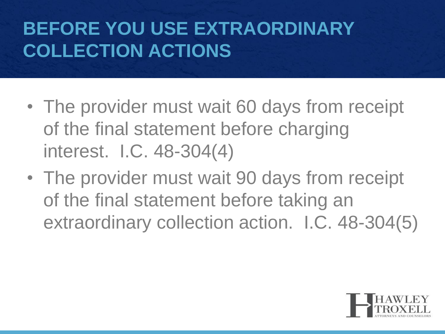#### **BEFORE YOU USE EXTRAORDINARY COLLECTION ACTIONS**

- The provider must wait 60 days from receipt of the final statement before charging interest. I.C. 48-304(4)
- The provider must wait 90 days from receipt of the final statement before taking an extraordinary collection action. I.C. 48-304(5)

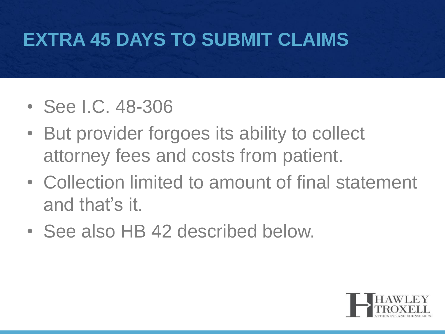#### **EXTRA 45 DAYS TO SUBMIT CLAIMS**

- See I.C. 48-306
- But provider forgoes its ability to collect attorney fees and costs from patient.
- Collection limited to amount of final statement and that's it.
- See also HB 42 described below.

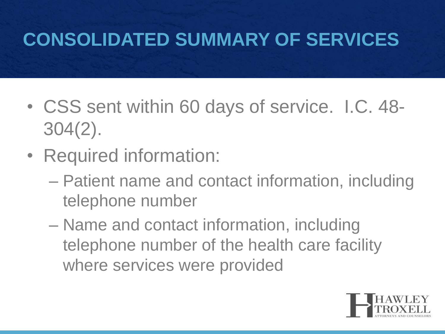#### **CONSOLIDATED SUMMARY OF SERVICES**

- CSS sent within 60 days of service. I.C. 48- 304(2).
- Required information:
	- Patient name and contact information, including telephone number
	- Name and contact information, including telephone number of the health care facility where services were provided

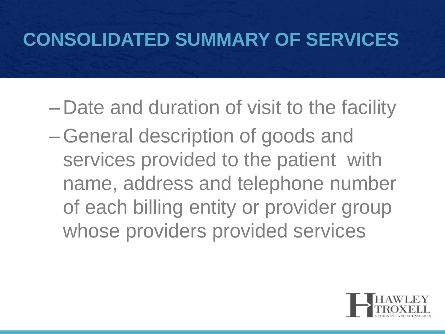#### **CONSOLIDATED SUMMARY OF SERVICES**

- Date and duration of visit to the facility
- –General description of goods and services provided to the patient with name, address and telephone number of each billing entity or provider group whose providers provided services

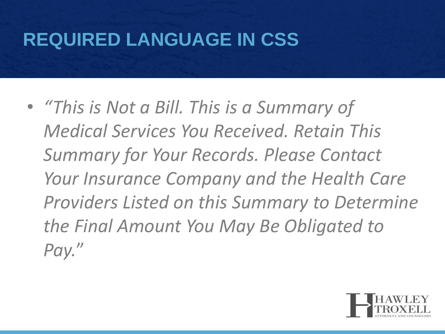#### **REQUIRED LANGUAGE IN CSS**

• *"This is Not a Bill. This is a Summary of Medical Services You Received. Retain This Summary for Your Records. Please Contact Your Insurance Company and the Health Care Providers Listed on this Summary to Determine the Final Amount You May Be Obligated to Pay.*"

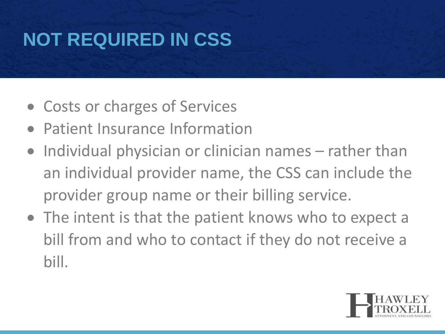## **NOT REQUIRED IN CSS**

- Costs or charges of Services
- Patient Insurance Information
- Individual physician or clinician names rather than an individual provider name, the CSS can include the provider group name or their billing service.
- The intent is that the patient knows who to expect a bill from and who to contact if they do not receive a bill.

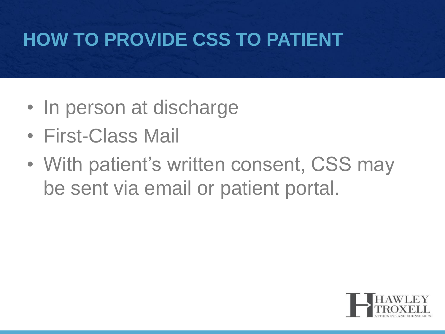#### **HOW TO PROVIDE CSS TO PATIENT**

- In person at discharge
- First-Class Mail
- With patient's written consent, CSS may be sent via email or patient portal.

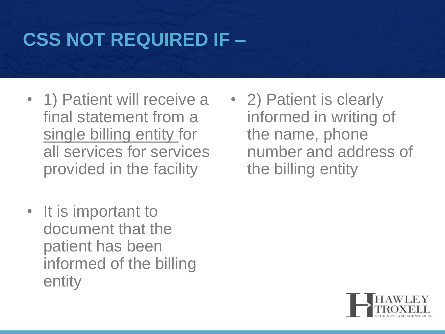#### **CSS NOT REQUIRED IF –**

- 1) Patient will receive a final statement from a single billing entity for all services for services provided in the facility
- It is important to document that the patient has been informed of the billing entity

• 2) Patient is clearly informed in writing of the name, phone number and address of the billing entity

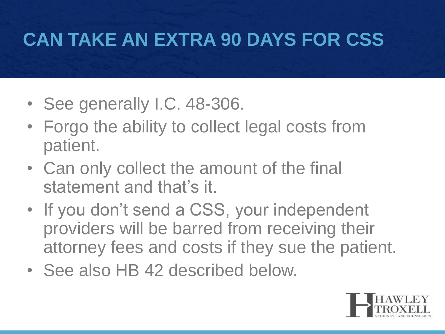#### **CAN TAKE AN EXTRA 90 DAYS FOR CSS**

- See generally I.C. 48-306.
- Forgo the ability to collect legal costs from patient.
- Can only collect the amount of the final statement and that's it.
- If you don't send a CSS, your independent providers will be barred from receiving their attorney fees and costs if they sue the patient.
- See also HB 42 described below.

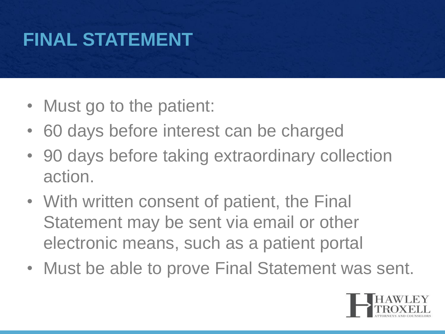#### **FINAL STATEMENT**

- Must go to the patient:
- 60 days before interest can be charged
- 90 days before taking extraordinary collection action.
- With written consent of patient, the Final Statement may be sent via email or other electronic means, such as a patient portal
- Must be able to prove Final Statement was sent.

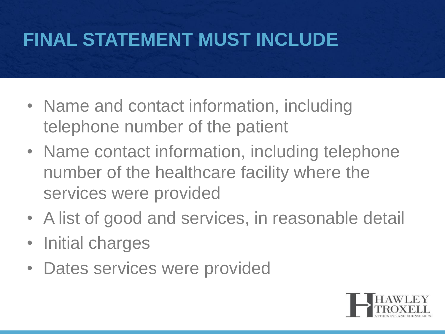#### **FINAL STATEMENT MUST INCLUDE**

- Name and contact information, including telephone number of the patient
- Name contact information, including telephone number of the healthcare facility where the services were provided
- A list of good and services, in reasonable detail
- Initial charges
- Dates services were provided

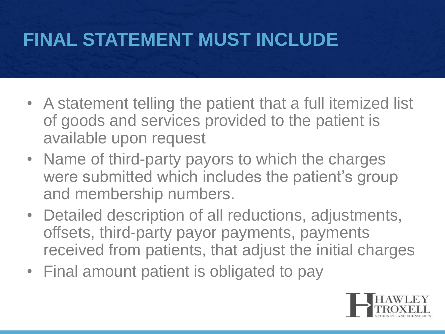#### **FINAL STATEMENT MUST INCLUDE**

- A statement telling the patient that a full itemized list of goods and services provided to the patient is available upon request
- Name of third-party payors to which the charges were submitted which includes the patient's group and membership numbers.
- Detailed description of all reductions, adjustments, offsets, third-party payor payments, payments received from patients, that adjust the initial charges
- Final amount patient is obligated to pay

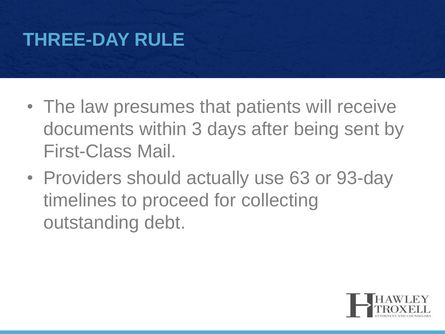#### **THREE-DAY RULE**

- The law presumes that patients will receive documents within 3 days after being sent by First-Class Mail.
- Providers should actually use 63 or 93-day timelines to proceed for collecting outstanding debt.

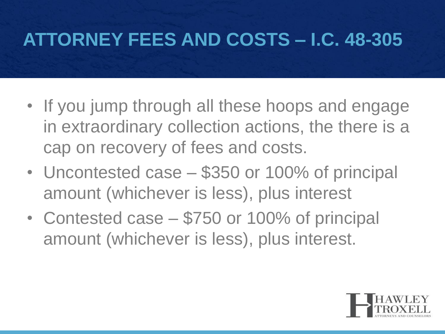#### **ATTORNEY FEES AND COSTS – I.C. 48-305**

- If you jump through all these hoops and engage in extraordinary collection actions, the there is a cap on recovery of fees and costs.
- Uncontested case \$350 or 100% of principal amount (whichever is less), plus interest
- Contested case \$750 or 100% of principal amount (whichever is less), plus interest.

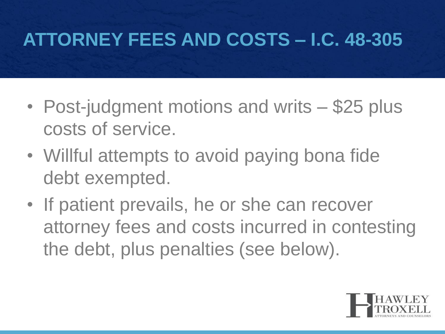#### **ATTORNEY FEES AND COSTS – I.C. 48-305**

- Post-judgment motions and writs \$25 plus costs of service.
- Willful attempts to avoid paying bona fide debt exempted.
- If patient prevails, he or she can recover attorney fees and costs incurred in contesting the debt, plus penalties (see below).

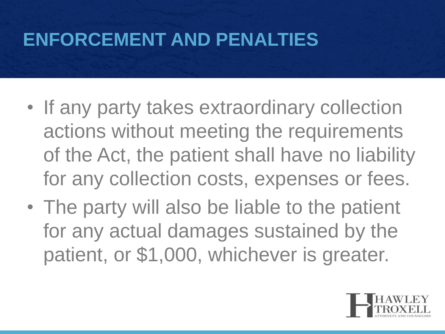#### **ENFORCEMENT AND PENALTIES**

- If any party takes extraordinary collection actions without meeting the requirements of the Act, the patient shall have no liability for any collection costs, expenses or fees.
- The party will also be liable to the patient for any actual damages sustained by the patient, or \$1,000, whichever is greater.

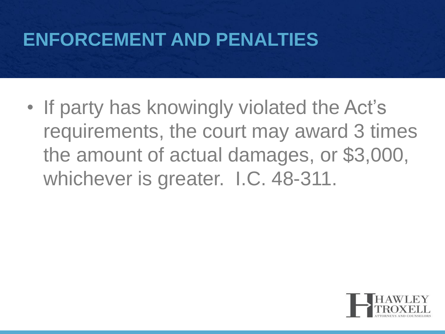#### **ENFORCEMENT AND PENALTIES**

• If party has knowingly violated the Act's requirements, the court may award 3 times the amount of actual damages, or \$3,000, whichever is greater. I.C. 48-311.

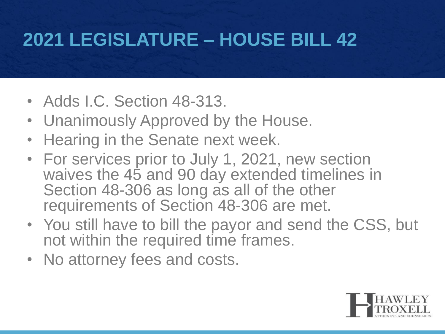#### **2021 LEGISLATURE – HOUSE BILL 42**

- Adds I.C. Section 48-313.
- Unanimously Approved by the House.
- Hearing in the Senate next week.
- For services prior to July 1, 2021, new section waives the 45 and 90 day extended timelines in Section 48-306 as long as all of the other requirements of Section 48-306 are met.
- You still have to bill the payor and send the CSS, but not within the required time frames.
- No attorney fees and costs.